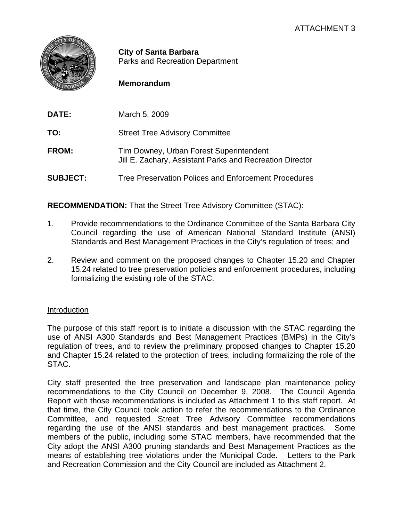

**City of Santa Barbara** Parks and Recreation Department

# **Memorandum**

| DATE:           | March 5, 2009                                                                                       |
|-----------------|-----------------------------------------------------------------------------------------------------|
| TO:             | <b>Street Tree Advisory Committee</b>                                                               |
| FROM:           | Tim Downey, Urban Forest Superintendent<br>Jill E. Zachary, Assistant Parks and Recreation Director |
| <b>SUBJECT:</b> | Tree Preservation Polices and Enforcement Procedures                                                |

**RECOMMENDATION:** That the Street Tree Advisory Committee (STAC):

- 1. Provide recommendations to the Ordinance Committee of the Santa Barbara City Council regarding the use of American National Standard Institute (ANSI) Standards and Best Management Practices in the City's regulation of trees; and
- 2. Review and comment on the proposed changes to Chapter 15.20 and Chapter 15.24 related to tree preservation policies and enforcement procedures, including formalizing the existing role of the STAC.

## Introduction

The purpose of this staff report is to initiate a discussion with the STAC regarding the use of ANSI A300 Standards and Best Management Practices (BMPs) in the City's regulation of trees, and to review the preliminary proposed changes to Chapter 15.20 and Chapter 15.24 related to the protection of trees, including formalizing the role of the STAC.

City staff presented the tree preservation and landscape plan maintenance policy recommendations to the City Council on December 9, 2008. The Council Agenda Report with those recommendations is included as Attachment 1 to this staff report. At that time, the City Council took action to refer the recommendations to the Ordinance Committee, and requested Street Tree Advisory Committee recommendations regarding the use of the ANSI standards and best management practices. Some members of the public, including some STAC members, have recommended that the City adopt the ANSI A300 pruning standards and Best Management Practices as the means of establishing tree violations under the Municipal Code. Letters to the Park and Recreation Commission and the City Council are included as Attachment 2.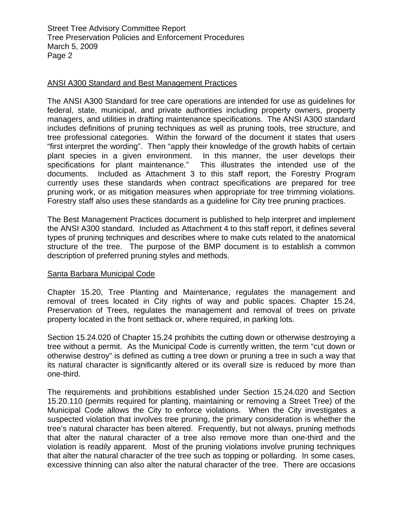Street Tree Advisory Committee Report Tree Preservation Policies and Enforcement Procedures March 5, 2009 Page 2

### ANSI A300 Standard and Best Management Practices

The ANSI A300 Standard for tree care operations are intended for use as guidelines for federal, state, municipal, and private authorities including property owners, property managers, and utilities in drafting maintenance specifications. The ANSI A300 standard includes definitions of pruning techniques as well as pruning tools, tree structure, and tree professional categories. Within the forward of the document it states that users "first interpret the wording". Then "apply their knowledge of the growth habits of certain plant species in a given environment. In this manner, the user develops their specifications for plant maintenance." This illustrates the intended use of the documents. Included as Attachment 3 to this staff report, the Forestry Program currently uses these standards when contract specifications are prepared for tree pruning work, or as mitigation measures when appropriate for tree trimming violations. Forestry staff also uses these standards as a guideline for City tree pruning practices.

The Best Management Practices document is published to help interpret and implement the ANSI A300 standard. Included as Attachment 4 to this staff report, it defines several types of pruning techniques and describes where to make cuts related to the anatomical structure of the tree. The purpose of the BMP document is to establish a common description of preferred pruning styles and methods.

#### Santa Barbara Municipal Code

Chapter 15.20, Tree Planting and Maintenance, regulates the management and removal of trees located in City rights of way and public spaces. Chapter 15.24, Preservation of Trees, regulates the management and removal of trees on private property located in the front setback or, where required, in parking lots.

Section 15.24.020 of Chapter 15.24 prohibits the cutting down or otherwise destroying a tree without a permit. As the Municipal Code is currently written, the term "cut down or otherwise destroy" is defined as cutting a tree down or pruning a tree in such a way that its natural character is significantly altered or its overall size is reduced by more than one-third.

The requirements and prohibitions established under Section 15.24.020 and Section 15.20.110 (permits required for planting, maintaining or removing a Street Tree) of the Municipal Code allows the City to enforce violations. When the City investigates a suspected violation that involves tree pruning, the primary consideration is whether the tree's natural character has been altered. Frequently, but not always, pruning methods that alter the natural character of a tree also remove more than one-third and the violation is readily apparent. Most of the pruning violations involve pruning techniques that alter the natural character of the tree such as topping or pollarding. In some cases, excessive thinning can also alter the natural character of the tree. There are occasions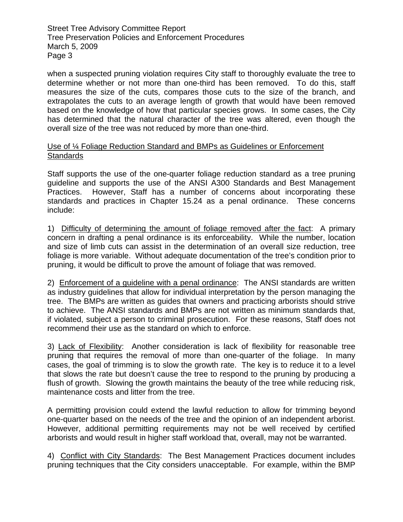Street Tree Advisory Committee Report Tree Preservation Policies and Enforcement Procedures March 5, 2009 Page 3

when a suspected pruning violation requires City staff to thoroughly evaluate the tree to determine whether or not more than one-third has been removed. To do this, staff measures the size of the cuts, compares those cuts to the size of the branch, and extrapolates the cuts to an average length of growth that would have been removed based on the knowledge of how that particular species grows. In some cases, the City has determined that the natural character of the tree was altered, even though the overall size of the tree was not reduced by more than one-third.

### Use of ¼ Foliage Reduction Standard and BMPs as Guidelines or Enforcement **Standards**

Staff supports the use of the one-quarter foliage reduction standard as a tree pruning guideline and supports the use of the ANSI A300 Standards and Best Management Practices. However, Staff has a number of concerns about incorporating these standards and practices in Chapter 15.24 as a penal ordinance. These concerns include:

1) Difficulty of determining the amount of foliage removed after the fact: A primary concern in drafting a penal ordinance is its enforceability. While the number, location and size of limb cuts can assist in the determination of an overall size reduction, tree foliage is more variable. Without adequate documentation of the tree's condition prior to pruning, it would be difficult to prove the amount of foliage that was removed.

2) Enforcement of a guideline with a penal ordinance: The ANSI standards are written as industry guidelines that allow for individual interpretation by the person managing the tree. The BMPs are written as guides that owners and practicing arborists should strive to achieve. The ANSI standards and BMPs are not written as minimum standards that, if violated, subject a person to criminal prosecution. For these reasons, Staff does not recommend their use as the standard on which to enforce.

3) Lack of Flexibility: Another consideration is lack of flexibility for reasonable tree pruning that requires the removal of more than one-quarter of the foliage. In many cases, the goal of trimming is to slow the growth rate. The key is to reduce it to a level that slows the rate but doesn't cause the tree to respond to the pruning by producing a flush of growth. Slowing the growth maintains the beauty of the tree while reducing risk, maintenance costs and litter from the tree.

A permitting provision could extend the lawful reduction to allow for trimming beyond one-quarter based on the needs of the tree and the opinion of an independent arborist. However, additional permitting requirements may not be well received by certified arborists and would result in higher staff workload that, overall, may not be warranted.

4) Conflict with City Standards: The Best Management Practices document includes pruning techniques that the City considers unacceptable. For example, within the BMP